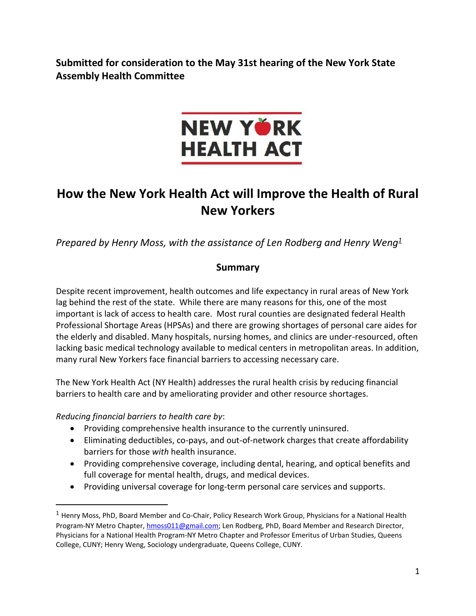**Submitted for consideration to the May 31st hearing of the New York State Assembly Health Committee**



# **How the New York Health Act will Improve the Health of Rural New Yorkers**

*Prepared by Henry Moss, with the assistance of Len Rodberg and Henry Weng<sup>1</sup>*

## **Summary**

Despite recent improvement, health outcomes and life expectancy in rural areas of New York lag behind the rest of the state. While there are many reasons for this, one of the most important is lack of access to health care. Most rural counties are designated federal Health Professional Shortage Areas (HPSAs) and there are growing shortages of personal care aides for the elderly and disabled. Many hospitals, nursing homes, and clinics are under-resourced, often lacking basic medical technology available to medical centers in metropolitan areas. In addition, many rural New Yorkers face financial barriers to accessing necessary care.

The New York Health Act (NY Health) addresses the rural health crisis by reducing financial barriers to health care and by ameliorating provider and other resource shortages.

*Reducing financial barriers to health care by*:

 $\overline{a}$ 

- Providing comprehensive health insurance to the currently uninsured.
- Eliminating deductibles, co-pays, and out-of-network charges that create affordability barriers for those *with* health insurance.
- Providing comprehensive coverage, including dental, hearing, and optical benefits and full coverage for mental health, drugs, and medical devices.
- Providing universal coverage for long-term personal care services and supports.

<sup>1</sup> Henry Moss, PhD, Board Member and Co-Chair, Policy Research Work Group, Physicians for a National Health Program-NY Metro Chapter, [hmoss011@gmail.com;](mailto:hmoss011@gmail.com) Len Rodberg, PhD, Board Member and Research Director, Physicians for a National Health Program-NY Metro Chapter and Professor Emeritus of Urban Studies, Queens College, CUNY; Henry Weng, Sociology undergraduate, Queens College, CUNY.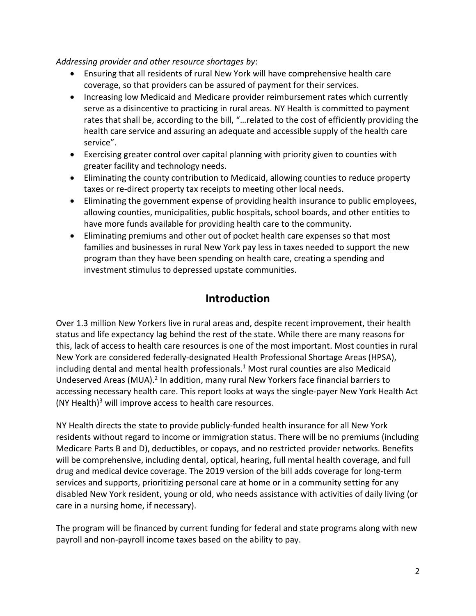#### *Addressing provider and other resource shortages by*:

- Ensuring that all residents of rural New York will have comprehensive health care coverage, so that providers can be assured of payment for their services.
- Increasing low Medicaid and Medicare provider reimbursement rates which currently serve as a disincentive to practicing in rural areas. NY Health is committed to payment rates that shall be, according to the bill, "…related to the cost of efficiently providing the health care service and assuring an adequate and accessible supply of the health care service".
- Exercising greater control over capital planning with priority given to counties with greater facility and technology needs.
- Eliminating the county contribution to Medicaid, allowing counties to reduce property taxes or re-direct property tax receipts to meeting other local needs.
- Eliminating the government expense of providing health insurance to public employees, allowing counties, municipalities, public hospitals, school boards, and other entities to have more funds available for providing health care to the community.
- Eliminating premiums and other out of pocket health care expenses so that most families and businesses in rural New York pay less in taxes needed to support the new program than they have been spending on health care, creating a spending and investment stimulus to depressed upstate communities.

## **Introduction**

Over 1.3 million New Yorkers live in rural areas and, despite recent improvement, their health status and life expectancy lag behind the rest of the state. While there are many reasons for this, lack of access to health care resources is one of the most important. Most counties in rural New York are considered federally-designated Health Professional Shortage Areas (HPSA), including dental and mental health professionals. $1$  Most rural counties are also Medicaid Undeserved Areas (MUA).<sup>2</sup> In addition, many rural New Yorkers face financial barriers to accessing necessary health care. This report looks at ways the single-payer New York Health Act  $(NY Health)^3$  will improve access to health care resources.

NY Health directs the state to provide publicly-funded health insurance for all New York residents without regard to income or immigration status. There will be no premiums (including Medicare Parts B and D), deductibles, or copays, and no restricted provider networks. Benefits will be comprehensive, including dental, optical, hearing, full mental health coverage, and full drug and medical device coverage. The 2019 version of the bill adds coverage for long-term services and supports, prioritizing personal care at home or in a community setting for any disabled New York resident, young or old, who needs assistance with activities of daily living (or care in a nursing home, if necessary).

The program will be financed by current funding for federal and state programs along with new payroll and non-payroll income taxes based on the ability to pay.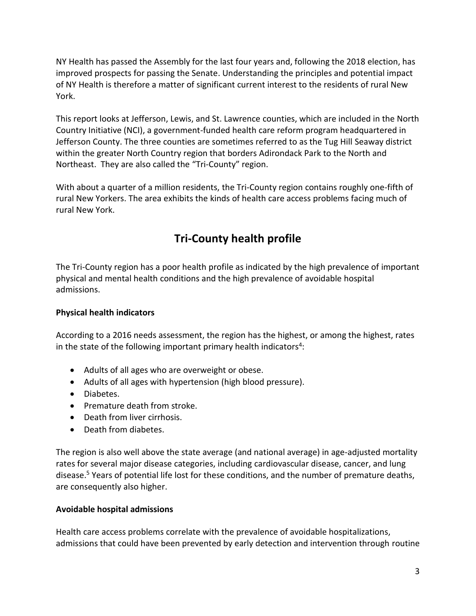NY Health has passed the Assembly for the last four years and, following the 2018 election, has improved prospects for passing the Senate. Understanding the principles and potential impact of NY Health is therefore a matter of significant current interest to the residents of rural New York.

This report looks at Jefferson, Lewis, and St. Lawrence counties, which are included in the North Country Initiative (NCI), a government-funded health care reform program headquartered in Jefferson County. The three counties are sometimes referred to as the Tug Hill Seaway district within the greater North Country region that borders Adirondack Park to the North and Northeast. They are also called the "Tri-County" region.

With about a quarter of a million residents, the Tri-County region contains roughly one-fifth of rural New Yorkers. The area exhibits the kinds of health care access problems facing much of rural New York.

## **Tri-County health profile**

The Tri-County region has a poor health profile as indicated by the high prevalence of important physical and mental health conditions and the high prevalence of avoidable hospital admissions.

### **Physical health indicators**

According to a 2016 needs assessment, the region has the highest, or among the highest, rates in the state of the following important primary health indicators<sup>4</sup>:

- Adults of all ages who are overweight or obese.
- Adults of all ages with hypertension (high blood pressure).
- Diabetes.
- Premature death from stroke.
- Death from liver cirrhosis.
- Death from diabetes.

The region is also well above the state average (and national average) in age-adjusted mortality rates for several major disease categories, including cardiovascular disease, cancer, and lung disease.<sup>5</sup> Years of potential life lost for these conditions, and the number of premature deaths, are consequently also higher.

#### **Avoidable hospital admissions**

Health care access problems correlate with the prevalence of avoidable hospitalizations, admissions that could have been prevented by early detection and intervention through routine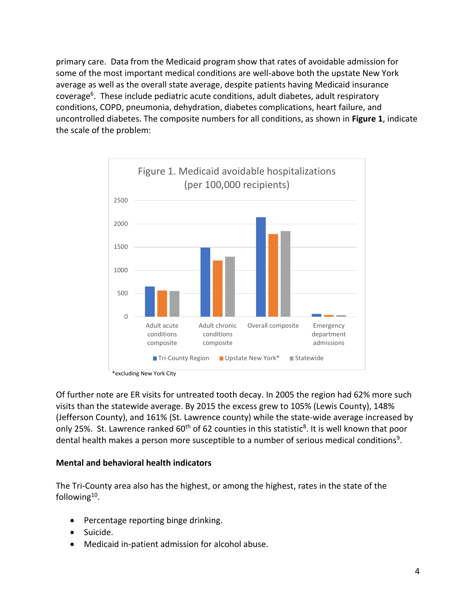primary care. Data from the Medicaid program show that rates of avoidable admission for some of the most important medical conditions are well-above both the upstate New York average as well as the overall state average, despite patients having Medicaid insurance coverage<sup>6</sup>. These include pediatric acute conditions, adult diabetes, adult respiratory conditions, COPD, pneumonia, dehydration, diabetes complications, heart failure, and uncontrolled diabetes. The composite numbers for all conditions, as shown in **Figure 1**, indicate the scale of the problem:



\*excluding New York City

Of further note are ER visits for untreated tooth decay. In 2005 the region had 62% more such visits than the statewide average. By 2015 the excess grew to 105% (Lewis County), 148% (Jefferson County), and 161% (St. Lawrence county) while the state-wide average increased by only 25%. St. Lawrence ranked 60<sup>th</sup> of 62 counties in this statistic<sup>8</sup>. It is well known that poor dental health makes a person more susceptible to a number of serious medical conditions<sup>9</sup>.

#### **Mental and behavioral health indicators**

The Tri-County area also has the highest, or among the highest, rates in the state of the following<sup>10</sup>.

- Percentage reporting binge drinking.
- Suicide.
- Medicaid in-patient admission for alcohol abuse.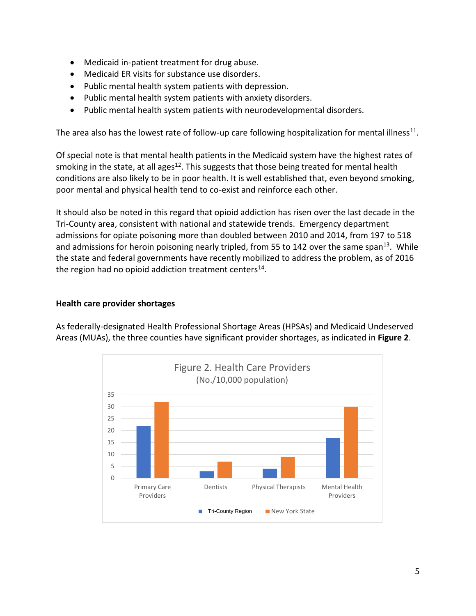- Medicaid in-patient treatment for drug abuse.
- Medicaid ER visits for substance use disorders.
- Public mental health system patients with depression.
- Public mental health system patients with anxiety disorders.
- Public mental health system patients with neurodevelopmental disorders.

The area also has the lowest rate of follow-up care following hospitalization for mental illness<sup>11</sup>.

Of special note is that mental health patients in the Medicaid system have the highest rates of smoking in the state, at all ages<sup>12</sup>. This suggests that those being treated for mental health conditions are also likely to be in poor health. It is well established that, even beyond smoking, poor mental and physical health tend to co-exist and reinforce each other.

It should also be noted in this regard that opioid addiction has risen over the last decade in the Tri-County area, consistent with national and statewide trends. Emergency department admissions for opiate poisoning more than doubled between 2010 and 2014, from 197 to 518 and admissions for heroin poisoning nearly tripled, from 55 to 142 over the same span<sup>13</sup>. While the state and federal governments have recently mobilized to address the problem, as of 2016 the region had no opioid addiction treatment centers<sup>14</sup>.

#### **Health care provider shortages**

As federally-designated Health Professional Shortage Areas (HPSAs) and Medicaid Undeserved Areas (MUAs), the three counties have significant provider shortages, as indicated in **Figure 2**.

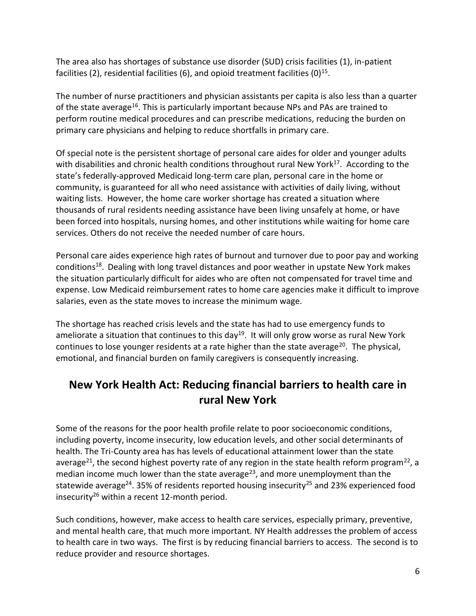The area also has shortages of substance use disorder (SUD) crisis facilities (1), in-patient facilities (2), residential facilities (6), and opioid treatment facilities (0)<sup>15</sup>.

The number of nurse practitioners and physician assistants per capita is also less than a quarter of the state average<sup>16</sup>. This is particularly important because NPs and PAs are trained to perform routine medical procedures and can prescribe medications, reducing the burden on primary care physicians and helping to reduce shortfalls in primary care.

Of special note is the persistent shortage of personal care aides for older and younger adults with disabilities and chronic health conditions throughout rural New York<sup>17</sup>. According to the state's federally-approved Medicaid long-term care plan, personal care in the home or community, is guaranteed for all who need assistance with activities of daily living, without waiting lists. However, the home care worker shortage has created a situation where thousands of rural residents needing assistance have been living unsafely at home, or have been forced into hospitals, nursing homes, and other institutions while waiting for home care services. Others do not receive the needed number of care hours.

Personal care aides experience high rates of burnout and turnover due to poor pay and working conditions<sup>18</sup>. Dealing with long travel distances and poor weather in upstate New York makes the situation particularly difficult for aides who are often not compensated for travel time and expense. Low Medicaid reimbursement rates to home care agencies make it difficult to improve salaries, even as the state moves to increase the minimum wage.

The shortage has reached crisis levels and the state has had to use emergency funds to ameliorate a situation that continues to this day<sup>19</sup>. It will only grow worse as rural New York continues to lose younger residents at a rate higher than the state average<sup>20</sup>. The physical, emotional, and financial burden on family caregivers is consequently increasing.

## **New York Health Act: Reducing financial barriers to health care in rural New York**

Some of the reasons for the poor health profile relate to poor socioeconomic conditions, including poverty, income insecurity, low education levels, and other social determinants of health. The Tri-County area has has levels of educational attainment lower than the state average<sup>21</sup>, the second highest poverty rate of any region in the state health reform program<sup>22</sup>, a median income much lower than the state average<sup>23</sup>, and more unemployment than the statewide average<sup>24</sup>. 35% of residents reported housing insecurity<sup>25</sup> and 23% experienced food insecurity<sup>26</sup> within a recent 12-month period.

Such conditions, however, make access to health care services, especially primary, preventive, and mental health care, that much more important. NY Health addresses the problem of access to health care in two ways. The first is by reducing financial barriers to access. The second is to reduce provider and resource shortages.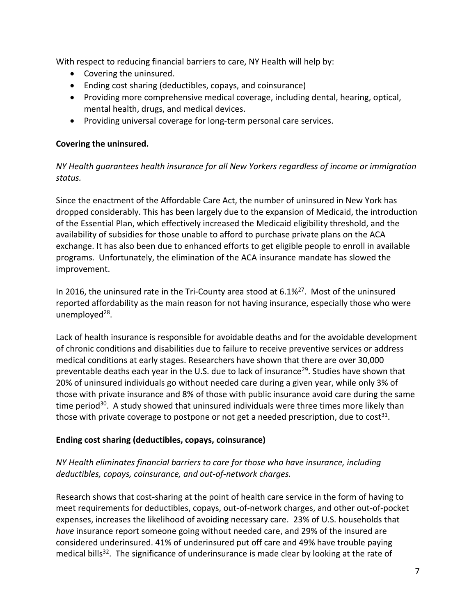With respect to reducing financial barriers to care, NY Health will help by:

- Covering the uninsured.
- Ending cost sharing (deductibles, copays, and coinsurance)
- Providing more comprehensive medical coverage, including dental, hearing, optical, mental health, drugs, and medical devices.
- Providing universal coverage for long-term personal care services.

### **Covering the uninsured.**

*NY Health guarantees health insurance for all New Yorkers regardless of income or immigration status.*

Since the enactment of the Affordable Care Act, the number of uninsured in New York has dropped considerably. This has been largely due to the expansion of Medicaid, the introduction of the Essential Plan, which effectively increased the Medicaid eligibility threshold, and the availability of subsidies for those unable to afford to purchase private plans on the ACA exchange. It has also been due to enhanced efforts to get eligible people to enroll in available programs. Unfortunately, the elimination of the ACA insurance mandate has slowed the improvement.

In 2016, the uninsured rate in the Tri-County area stood at  $6.1\%^{27}$ . Most of the uninsured reported affordability as the main reason for not having insurance, especially those who were unemployed<sup>28</sup>.

Lack of health insurance is responsible for avoidable deaths and for the avoidable development of chronic conditions and disabilities due to failure to receive preventive services or address medical conditions at early stages. Researchers have shown that there are over 30,000 preventable deaths each year in the U.S. due to lack of insurance<sup>29</sup>. Studies have shown that 20% of uninsured individuals go without needed care during a given year, while only 3% of those with private insurance and 8% of those with public insurance avoid care during the same time period $30$ . A study showed that uninsured individuals were three times more likely than those with private coverage to postpone or not get a needed prescription, due to cost<sup>31</sup>.

## **Ending cost sharing (deductibles, copays, coinsurance)**

## *NY Health eliminates financial barriers to care for those who have insurance, including deductibles, copays, coinsurance, and out-of-network charges.*

Research shows that cost-sharing at the point of health care service in the form of having to meet requirements for deductibles, copays, out-of-network charges, and other out-of-pocket expenses, increases the likelihood of avoiding necessary care. 23% of U.S. households that *have* insurance report someone going without needed care, and 29% of the insured are considered underinsured. 41% of underinsured put off care and 49% have trouble paying medical bills<sup>32</sup>. The significance of underinsurance is made clear by looking at the rate of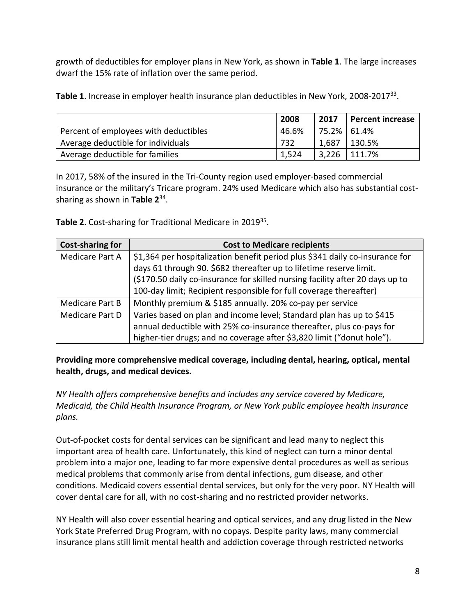growth of deductibles for employer plans in New York, as shown in **Table 1**. The large increases dwarf the 15% rate of inflation over the same period.

Table 1. Increase in employer health insurance plan deductibles in New York, 2008-2017<sup>33</sup>.

|                                       | 2008  | 2017  | <b>Percent increase</b>     |
|---------------------------------------|-------|-------|-----------------------------|
| Percent of employees with deductibles | 46.6% |       | 75.2% 61.4%                 |
| Average deductible for individuals    | 732   | 1,687 | 130.5%                      |
| Average deductible for families       | 1,524 |       | $\frac{1}{3}$ ,226   111.7% |

In 2017, 58% of the insured in the Tri-County region used employer-based commercial insurance or the military's Tricare program. 24% used Medicare which also has substantial costsharing as shown in **Table 2** 34 .

**Table 2**. Cost-sharing for Traditional Medicare in 2019 35 .

| <b>Cost-sharing for</b> | <b>Cost to Medicare recipients</b>                                            |  |  |
|-------------------------|-------------------------------------------------------------------------------|--|--|
| Medicare Part A         | \$1,364 per hospitalization benefit period plus \$341 daily co-insurance for  |  |  |
|                         | days 61 through 90. \$682 thereafter up to lifetime reserve limit.            |  |  |
|                         | (\$170.50 daily co-insurance for skilled nursing facility after 20 days up to |  |  |
|                         | 100-day limit; Recipient responsible for full coverage thereafter)            |  |  |
| <b>Medicare Part B</b>  | Monthly premium & \$185 annually. 20% co-pay per service                      |  |  |
| Medicare Part D         | Varies based on plan and income level; Standard plan has up to \$415          |  |  |
|                         | annual deductible with 25% co-insurance thereafter, plus co-pays for          |  |  |
|                         | higher-tier drugs; and no coverage after \$3,820 limit ("donut hole").        |  |  |

**Providing more comprehensive medical coverage, including dental, hearing, optical, mental health, drugs, and medical devices.**

*NY Health offers comprehensive benefits and includes any service covered by Medicare, Medicaid, the Child Health Insurance Program, or New York public employee health insurance plans.*

Out-of-pocket costs for dental services can be significant and lead many to neglect this important area of health care. Unfortunately, this kind of neglect can turn a minor dental problem into a major one, leading to far more expensive dental procedures as well as serious medical problems that commonly arise from dental infections, gum disease, and other conditions. Medicaid covers essential dental services, but only for the very poor. NY Health will cover dental care for all, with no cost-sharing and no restricted provider networks.

NY Health will also cover essential hearing and optical services, and any drug listed in the New York State Preferred Drug Program, with no copays. Despite parity laws, many commercial insurance plans still limit mental health and addiction coverage through restricted networks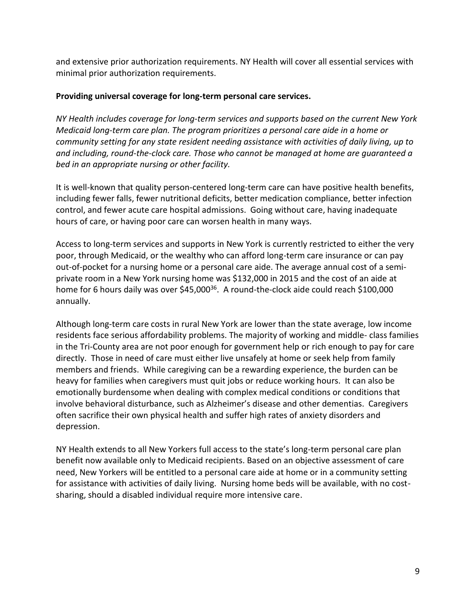and extensive prior authorization requirements. NY Health will cover all essential services with minimal prior authorization requirements.

#### **Providing universal coverage for long-term personal care services.**

*NY Health includes coverage for long-term services and supports based on the current New York Medicaid long-term care plan. The program prioritizes a personal care aide in a home or community setting for any state resident needing assistance with activities of daily living, up to and including, round-the-clock care. Those who cannot be managed at home are guaranteed a bed in an appropriate nursing or other facility.*

It is well-known that quality person-centered long-term care can have positive health benefits, including fewer falls, fewer nutritional deficits, better medication compliance, better infection control, and fewer acute care hospital admissions. Going without care, having inadequate hours of care, or having poor care can worsen health in many ways.

Access to long-term services and supports in New York is currently restricted to either the very poor, through Medicaid, or the wealthy who can afford long-term care insurance or can pay out-of-pocket for a nursing home or a personal care aide. The average annual cost of a semiprivate room in a New York nursing home was \$132,000 in 2015 and the cost of an aide at home for 6 hours daily was over \$45,000<sup>36</sup>. A round-the-clock aide could reach \$100,000 annually.

Although long-term care costs in rural New York are lower than the state average, low income residents face serious affordability problems. The majority of working and middle- class families in the Tri-County area are not poor enough for government help or rich enough to pay for care directly. Those in need of care must either live unsafely at home or seek help from family members and friends. While caregiving can be a rewarding experience, the burden can be heavy for families when caregivers must quit jobs or reduce working hours. It can also be emotionally burdensome when dealing with complex medical conditions or conditions that involve behavioral disturbance, such as Alzheimer's disease and other dementias. Caregivers often sacrifice their own physical health and suffer high rates of anxiety disorders and depression.

NY Health extends to all New Yorkers full access to the state's long-term personal care plan benefit now available only to Medicaid recipients. Based on an objective assessment of care need, New Yorkers will be entitled to a personal care aide at home or in a community setting for assistance with activities of daily living. Nursing home beds will be available, with no costsharing, should a disabled individual require more intensive care.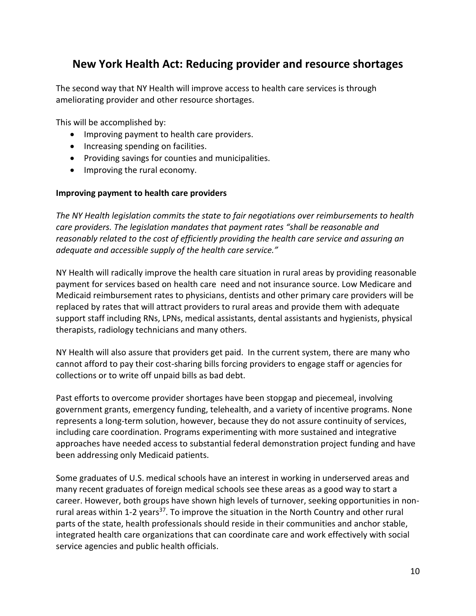## **New York Health Act: Reducing provider and resource shortages**

The second way that NY Health will improve access to health care services is through ameliorating provider and other resource shortages.

This will be accomplished by:

- Improving payment to health care providers.
- Increasing spending on facilities.
- Providing savings for counties and municipalities.
- Improving the rural economy.

#### **Improving payment to health care providers**

*The NY Health legislation commits the state to fair negotiations over reimbursements to health care providers. The legislation mandates that payment rates "shall be reasonable and reasonably related to the cost of efficiently providing the health care service and assuring an adequate and accessible supply of the health care service."*

NY Health will radically improve the health care situation in rural areas by providing reasonable payment for services based on health care need and not insurance source. Low Medicare and Medicaid reimbursement rates to physicians, dentists and other primary care providers will be replaced by rates that will attract providers to rural areas and provide them with adequate support staff including RNs, LPNs, medical assistants, dental assistants and hygienists, physical therapists, radiology technicians and many others.

NY Health will also assure that providers get paid. In the current system, there are many who cannot afford to pay their cost-sharing bills forcing providers to engage staff or agencies for collections or to write off unpaid bills as bad debt.

Past efforts to overcome provider shortages have been stopgap and piecemeal, involving government grants, emergency funding, telehealth, and a variety of incentive programs. None represents a long-term solution, however, because they do not assure continuity of services, including care coordination. Programs experimenting with more sustained and integrative approaches have needed access to substantial federal demonstration project funding and have been addressing only Medicaid patients.

Some graduates of U.S. medical schools have an interest in working in underserved areas and many recent graduates of foreign medical schools see these areas as a good way to start a career. However, both groups have shown high levels of turnover, seeking opportunities in nonrural areas within 1-2 years<sup>37</sup>. To improve the situation in the North Country and other rural parts of the state, health professionals should reside in their communities and anchor stable, integrated health care organizations that can coordinate care and work effectively with social service agencies and public health officials.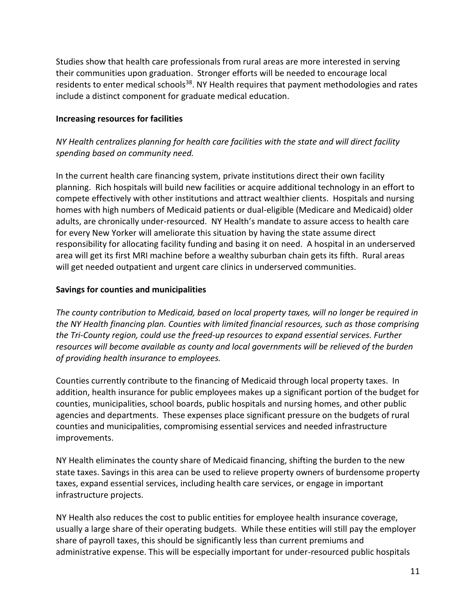Studies show that health care professionals from rural areas are more interested in serving their communities upon graduation. Stronger efforts will be needed to encourage local residents to enter medical schools<sup>38</sup>. NY Health requires that payment methodologies and rates include a distinct component for graduate medical education.

#### **Increasing resources for facilities**

## *NY Health centralizes planning for health care facilities with the state and will direct facility spending based on community need.*

In the current health care financing system, private institutions direct their own facility planning. Rich hospitals will build new facilities or acquire additional technology in an effort to compete effectively with other institutions and attract wealthier clients. Hospitals and nursing homes with high numbers of Medicaid patients or dual-eligible (Medicare and Medicaid) older adults, are chronically under-resourced. NY Health's mandate to assure access to health care for every New Yorker will ameliorate this situation by having the state assume direct responsibility for allocating facility funding and basing it on need. A hospital in an underserved area will get its first MRI machine before a wealthy suburban chain gets its fifth. Rural areas will get needed outpatient and urgent care clinics in underserved communities.

#### **Savings for counties and municipalities**

*The county contribution to Medicaid, based on local property taxes, will no longer be required in the NY Health financing plan. Counties with limited financial resources, such as those comprising the Tri-County region, could use the freed-up resources to expand essential services. Further resources will become available as county and local governments will be relieved of the burden of providing health insurance to employees.*

Counties currently contribute to the financing of Medicaid through local property taxes. In addition, health insurance for public employees makes up a significant portion of the budget for counties, municipalities, school boards, public hospitals and nursing homes, and other public agencies and departments. These expenses place significant pressure on the budgets of rural counties and municipalities, compromising essential services and needed infrastructure improvements.

NY Health eliminates the county share of Medicaid financing, shifting the burden to the new state taxes. Savings in this area can be used to relieve property owners of burdensome property taxes, expand essential services, including health care services, or engage in important infrastructure projects.

NY Health also reduces the cost to public entities for employee health insurance coverage, usually a large share of their operating budgets. While these entities will still pay the employer share of payroll taxes, this should be significantly less than current premiums and administrative expense. This will be especially important for under-resourced public hospitals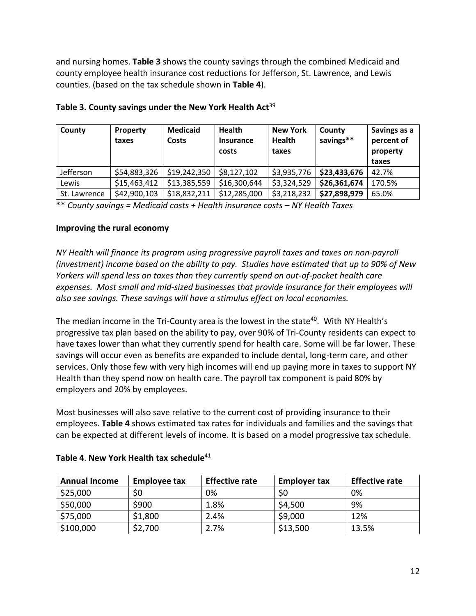and nursing homes. **Table 3** shows the county savings through the combined Medicaid and county employee health insurance cost reductions for Jefferson, St. Lawrence, and Lewis counties. (based on the tax schedule shown in **Table 4**).

| County       | <b>Property</b><br>taxes | <b>Medicaid</b><br>Costs | <b>Health</b><br><b>Insurance</b><br>costs | <b>New York</b><br><b>Health</b><br>taxes | County<br>savings** | Savings as a<br>percent of<br>property<br>taxes |
|--------------|--------------------------|--------------------------|--------------------------------------------|-------------------------------------------|---------------------|-------------------------------------------------|
| Jefferson    | \$54,883,326             | \$19,242,350             | \$8,127,102                                | \$3,935,776                               | \$23,433,676        | 42.7%                                           |
| Lewis        | \$15,463,412             | \$13,385,559             | \$16,300,644                               | \$3,324,529                               | \$26,361,674        | 170.5%                                          |
| St. Lawrence | \$42,900,103             | \$18,832,211             | \$12,285,000                               | \$3,218,232                               | \$27,898,979        | 65.0%                                           |

#### **Table 3. County savings under the New York Health Act**<sup>39</sup>

\*\* *County savings = Medicaid costs + Health insurance costs – NY Health Taxes*

#### **Improving the rural economy**

*NY Health will finance its program using progressive payroll taxes and taxes on non-payroll (investment) income based on the ability to pay. Studies have estimated that up to 90% of New Yorkers will spend less on taxes than they currently spend on out-of-pocket health care expenses. Most small and mid-sized businesses that provide insurance for their employees will also see savings. These savings will have a stimulus effect on local economies.*

The median income in the Tri-County area is the lowest in the state<sup>40</sup>. With NY Health's progressive tax plan based on the ability to pay, over 90% of Tri-County residents can expect to have taxes lower than what they currently spend for health care. Some will be far lower. These savings will occur even as benefits are expanded to include dental, long-term care, and other services. Only those few with very high incomes will end up paying more in taxes to support NY Health than they spend now on health care. The payroll tax component is paid 80% by employers and 20% by employees.

Most businesses will also save relative to the current cost of providing insurance to their employees. **Table 4** shows estimated tax rates for individuals and families and the savings that can be expected at different levels of income. It is based on a model progressive tax schedule.

| <b>Annual Income</b> | <b>Employee tax</b> | <b>Effective rate</b> | <b>Employer tax</b> | <b>Effective rate</b> |
|----------------------|---------------------|-----------------------|---------------------|-----------------------|
| \$25,000             | \$0                 | 0%                    | \$0                 | 0%                    |
| \$50,000             | \$900               | 1.8%                  | \$4,500             | 9%                    |
| \$75,000             | \$1,800             | 2.4%                  | \$9,000             | 12%                   |
| \$100,000            | \$2,700             | 2.7%                  | \$13,500            | 13.5%                 |

#### **Table 4. New York Health tax schedule**<sup>41</sup>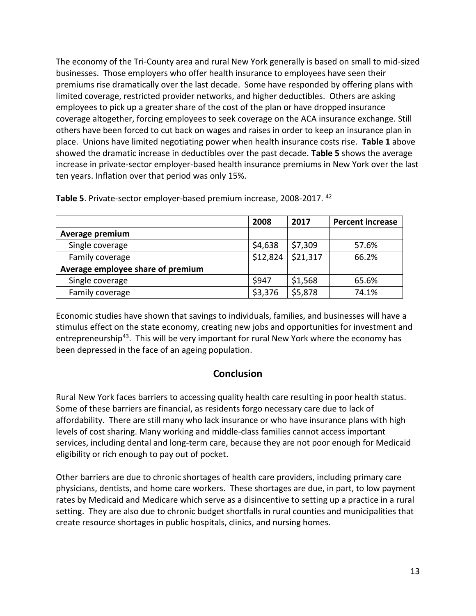The economy of the Tri-County area and rural New York generally is based on small to mid-sized businesses. Those employers who offer health insurance to employees have seen their premiums rise dramatically over the last decade. Some have responded by offering plans with limited coverage, restricted provider networks, and higher deductibles. Others are asking employees to pick up a greater share of the cost of the plan or have dropped insurance coverage altogether, forcing employees to seek coverage on the ACA insurance exchange. Still others have been forced to cut back on wages and raises in order to keep an insurance plan in place. Unions have limited negotiating power when health insurance costs rise. **Table 1** above showed the dramatic increase in deductibles over the past decade. **Table 5** shows the average increase in private-sector employer-based health insurance premiums in New York over the last ten years. Inflation over that period was only 15%.

|                                   | 2008     | 2017     | <b>Percent increase</b> |
|-----------------------------------|----------|----------|-------------------------|
| Average premium                   |          |          |                         |
| Single coverage                   | \$4,638  | \$7,309  | 57.6%                   |
| Family coverage                   | \$12,824 | \$21,317 | 66.2%                   |
| Average employee share of premium |          |          |                         |
| Single coverage                   | \$947    | \$1,568  | 65.6%                   |
| Family coverage                   | \$3,376  | \$5,878  | 74.1%                   |

**Table 5**. Private-sector employer-based premium increase, 2008-2017. <sup>42</sup>

Economic studies have shown that savings to individuals, families, and businesses will have a stimulus effect on the state economy, creating new jobs and opportunities for investment and entrepreneurship<sup>43</sup>. This will be very important for rural New York where the economy has been depressed in the face of an ageing population.

## **Conclusion**

Rural New York faces barriers to accessing quality health care resulting in poor health status. Some of these barriers are financial, as residents forgo necessary care due to lack of affordability. There are still many who lack insurance or who have insurance plans with high levels of cost sharing. Many working and middle-class families cannot access important services, including dental and long-term care, because they are not poor enough for Medicaid eligibility or rich enough to pay out of pocket.

Other barriers are due to chronic shortages of health care providers, including primary care physicians, dentists, and home care workers. These shortages are due, in part, to low payment rates by Medicaid and Medicare which serve as a disincentive to setting up a practice in a rural setting. They are also due to chronic budget shortfalls in rural counties and municipalities that create resource shortages in public hospitals, clinics, and nursing homes.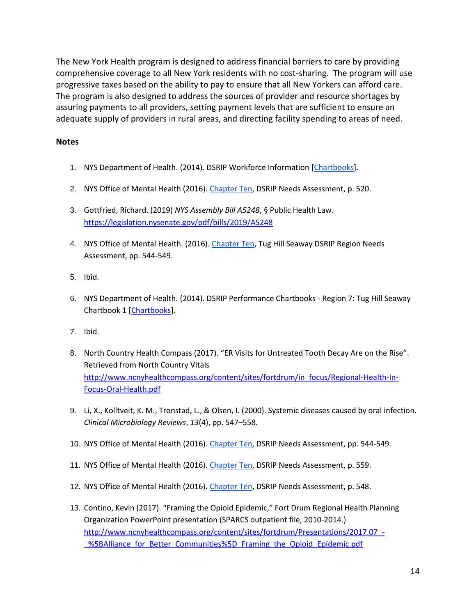The New York Health program is designed to address financial barriers to care by providing comprehensive coverage to all New York residents with no cost-sharing. The program will use progressive taxes based on the ability to pay to ensure that all New Yorkers can afford care. The program is also designed to address the sources of provider and resource shortages by assuring payments to all providers, setting payment levels that are sufficient to ensure an adequate supply of providers in rural areas, and directing facility spending to areas of need.

#### **Notes**

- 1. NYS Department of Health. (2014). DSRIP Workforce Information [\[Chartbooks\]](https://www.health.ny.gov/health_care/medicaid/redesign/dsrip/workforce_information.htm).
- 2. NYS Office of Mental Health (2016)[. Chapter Ten,](https://omh.ny.gov/omhweb/special-projects/dsrip/docs/chapter-10-tug-hill-seaway.pdf) DSRIP Needs Assessment, p. 520.
- 3. Gottfried, Richard. (2019) *NYS Assembly Bill A5248*, § Public Health Law. <https://legislation.nysenate.gov/pdf/bills/2019/A5248>
- 4. NYS Office of Mental Health. (2016). [Chapter Ten,](https://omh.ny.gov/omhweb/special-projects/dsrip/docs/chapter-10-tug-hill-seaway.pdf) Tug Hill Seaway DSRIP Region Needs Assessment, pp. 544-549.
- 5. Ibid.
- 6. NYS Department of Health. (2014). DSRIP Performance Chartbooks Region 7: Tug Hill Seaway Chartbook 1 [\[Chartbooks\]](https://www.health.ny.gov/health_care/medicaid/redesign/dsrip/performance_chartbooks.htm).
- 7. Ibid.
- 8. North Country Health Compass (2017). "ER Visits for Untreated Tooth Decay Are on the Rise". Retrieved from North Country Vitals [http://www.ncnyhealthcompass.org/content/sites/fortdrum/in\\_focus/Regional-Health-In-](http://www.ncnyhealthcompass.org/content/sites/fortdrum/in_focus/Regional-Health-In-Focus-Oral-Health.pdf)[Focus-Oral-Health.pdf](http://www.ncnyhealthcompass.org/content/sites/fortdrum/in_focus/Regional-Health-In-Focus-Oral-Health.pdf)
- 9. Li, X., Kolltveit, K. M., Tronstad, L., & Olsen, I. (2000). Systemic diseases caused by oral infection. *Clinical Microbiology Reviews*, *13*(4), pp. 547–558.
- 10. NYS Office of Mental Health (2016)[. Chapter Ten,](https://omh.ny.gov/omhweb/special-projects/dsrip/docs/chapter-10-tug-hill-seaway.pdf) DSRIP Needs Assessment, pp. 544-549.
- 11. NYS Office of Mental Health (2016)[. Chapter Ten,](https://omh.ny.gov/omhweb/special-projects/dsrip/docs/chapter-10-tug-hill-seaway.pdf) DSRIP Needs Assessment, p. 559.
- 12. NYS Office of Mental Health (2016)[. Chapter Ten,](https://omh.ny.gov/omhweb/special-projects/dsrip/docs/chapter-10-tug-hill-seaway.pdf) DSRIP Needs Assessment, p. 548.
- 13. Contino, Kevin (2017). "Framing the Opioid Epidemic," Fort Drum Regional Health Planning Organization PowerPoint presentation (SPARCS outpatient file, 2010-2014.) [http://www.ncnyhealthcompass.org/content/sites/fortdrum/Presentations/2017.07\\_-](http://www.ncnyhealthcompass.org/content/sites/fortdrum/Presentations/2017.07_-_%5BAlliance_for_Better_Communities%5D_Framing_the_Opioid_Epidemic.pdf) [\\_%5BAlliance\\_for\\_Better\\_Communities%5D\\_Framing\\_the\\_Opioid\\_Epidemic.pdf](http://www.ncnyhealthcompass.org/content/sites/fortdrum/Presentations/2017.07_-_%5BAlliance_for_Better_Communities%5D_Framing_the_Opioid_Epidemic.pdf)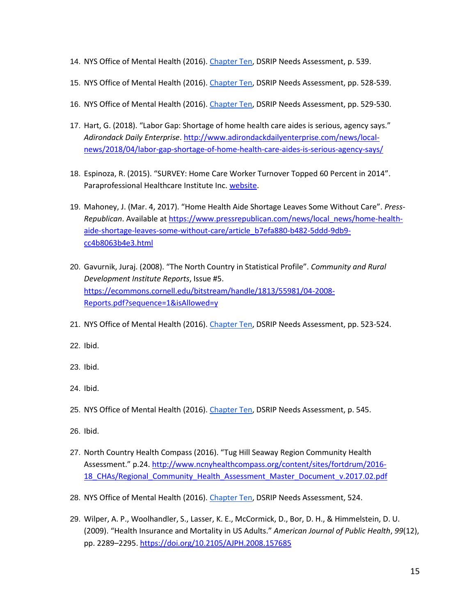- 14. NYS Office of Mental Health (2016)[. Chapter Ten,](https://omh.ny.gov/omhweb/special-projects/dsrip/docs/chapter-10-tug-hill-seaway.pdf) DSRIP Needs Assessment, p. 539.
- 15. NYS Office of Mental Health (2016)[. Chapter Ten,](https://omh.ny.gov/omhweb/special-projects/dsrip/docs/chapter-10-tug-hill-seaway.pdf) DSRIP Needs Assessment, pp. 528-539.
- 16. NYS Office of Mental Health (2016)[. Chapter Ten,](https://omh.ny.gov/omhweb/special-projects/dsrip/docs/chapter-10-tug-hill-seaway.pdf) DSRIP Needs Assessment, pp. 529-530.
- 17. Hart, G. (2018). "Labor Gap: Shortage of home health care aides is serious, agency says." *Adirondack Daily Enterprise*. [http://www.adirondackdailyenterprise.com/news/local](http://www.adirondackdailyenterprise.com/news/local-news/2018/04/labor-gap-shortage-of-home-health-care-aides-is-serious-agency-says/)[news/2018/04/labor-gap-shortage-of-home-health-care-aides-is-serious-agency-says/](http://www.adirondackdailyenterprise.com/news/local-news/2018/04/labor-gap-shortage-of-home-health-care-aides-is-serious-agency-says/)
- 18. Espinoza, R. (2015). "SURVEY: Home Care Worker Turnover Topped 60 Percent in 2014". Paraprofessional Healthcare Institute Inc. [website.](https://phinational.org/survey-home-care-worker-turnover-topped-60-percent-in-2014/)
- 19. Mahoney, J. (Mar. 4, 2017). "Home Health Aide Shortage Leaves Some Without Care". *Press-Republican*. Available at [https://www.pressrepublican.com/news/local\\_news/home-health](https://www.pressrepublican.com/news/local_news/home-health-aide-shortage-leaves-some-without-care/article_b7efa880-b482-5ddd-9db9-cc4b8063b4e3.html)[aide-shortage-leaves-some-without-care/article\\_b7efa880-b482-5ddd-9db9](https://www.pressrepublican.com/news/local_news/home-health-aide-shortage-leaves-some-without-care/article_b7efa880-b482-5ddd-9db9-cc4b8063b4e3.html) [cc4b8063b4e3.html](https://www.pressrepublican.com/news/local_news/home-health-aide-shortage-leaves-some-without-care/article_b7efa880-b482-5ddd-9db9-cc4b8063b4e3.html)
- 20. Gavurnik, Juraj. (2008). "The North Country in Statistical Profile". *Community and Rural Development Institute Reports*, Issue #5. [https://ecommons.cornell.edu/bitstream/handle/1813/55981/04-2008-](https://ecommons.cornell.edu/bitstream/handle/1813/55981/04-2008-Reports.pdf?sequence=1&isAllowed=y) [Reports.pdf?sequence=1&isAllowed=y](https://ecommons.cornell.edu/bitstream/handle/1813/55981/04-2008-Reports.pdf?sequence=1&isAllowed=y)
- 21. NYS Office of Mental Health (2016)[. Chapter Ten,](https://omh.ny.gov/omhweb/special-projects/dsrip/docs/chapter-10-tug-hill-seaway.pdf) DSRIP Needs Assessment, pp. 523-524.
- 22. Ibid.
- 23. Ibid.
- 24. Ibid.
- 25. NYS Office of Mental Health (2016)[. Chapter Ten,](https://omh.ny.gov/omhweb/special-projects/dsrip/docs/chapter-10-tug-hill-seaway.pdf) DSRIP Needs Assessment, p. 545.
- 26. Ibid.
- 27. North Country Health Compass (2016). "Tug Hill Seaway Region Community Health Assessment." p.24[. http://www.ncnyhealthcompass.org/content/sites/fortdrum/2016-](http://www.ncnyhealthcompass.org/content/sites/fortdrum/2016-18_CHAs/Regional_Community_Health_Assessment_Master_Document_v.2017.02.pdf) [18\\_CHAs/Regional\\_Community\\_Health\\_Assessment\\_Master\\_Document\\_v.2017.02.pdf](http://www.ncnyhealthcompass.org/content/sites/fortdrum/2016-18_CHAs/Regional_Community_Health_Assessment_Master_Document_v.2017.02.pdf)
- 28. NYS Office of Mental Health (2016)[. Chapter Ten,](https://omh.ny.gov/omhweb/special-projects/dsrip/docs/chapter-10-tug-hill-seaway.pdf) DSRIP Needs Assessment, 524.
- 29. Wilper, A. P., Woolhandler, S., Lasser, K. E., McCormick, D., Bor, D. H., & Himmelstein, D. U. (2009). "Health Insurance and Mortality in US Adults." *American Journal of Public Health*, *99*(12), pp. 2289–2295.<https://doi.org/10.2105/AJPH.2008.157685>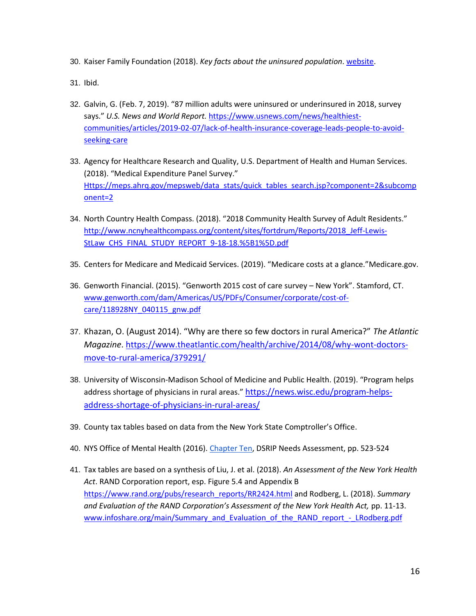30. Kaiser Family Foundation (2018). *Key facts about the uninsured population*[. website.](https://www.kff.org/uninsured/fact-sheet/key-facts-about-the-uninsured-population/)

31. Ibid.

- 32. Galvin, G. (Feb. 7, 2019). "87 million adults were uninsured or underinsured in 2018, survey says." *U.S. News and World Report.* [https://www.usnews.com/news/healthiest](https://www.usnews.com/news/healthiest-communities/articles/2019-02-07/lack-of-health-insurance-coverage-leads-people-to-avoid-seeking-care)[communities/articles/2019-02-07/lack-of-health-insurance-coverage-leads-people-to-avoid](https://www.usnews.com/news/healthiest-communities/articles/2019-02-07/lack-of-health-insurance-coverage-leads-people-to-avoid-seeking-care)[seeking-care](https://www.usnews.com/news/healthiest-communities/articles/2019-02-07/lack-of-health-insurance-coverage-leads-people-to-avoid-seeking-care)
- 33. Agency for Healthcare Research and Quality, U.S. Department of Health and Human Services. (2018). "Medical Expenditure Panel Survey." [Https://meps.ahrq.gov/mepsweb/data\\_stats/quick\\_tables\\_search.jsp?component=2&subcomp](https://meps.ahrq.gov/mepsweb/data_stats/quick_tables_search.jsp?component=2&subcomponent=2) [onent=2](https://meps.ahrq.gov/mepsweb/data_stats/quick_tables_search.jsp?component=2&subcomponent=2)
- 34. North Country Health Compass. (2018). "2018 Community Health Survey of Adult Residents." [http://www.ncnyhealthcompass.org/content/sites/fortdrum/Reports/2018\\_Jeff-Lewis-](http://www.ncnyhealthcompass.org/content/sites/fortdrum/Reports/2018_Jeff-Lewis-StLaw_CHS_FINAL_STUDY_REPORT_9-18-18.%5B1%5D.pdf)[StLaw\\_CHS\\_FINAL\\_STUDY\\_REPORT\\_9-18-18.%5B1%5D.pdf](http://www.ncnyhealthcompass.org/content/sites/fortdrum/Reports/2018_Jeff-Lewis-StLaw_CHS_FINAL_STUDY_REPORT_9-18-18.%5B1%5D.pdf)
- 35. Centers for Medicare and Medicaid Services. (2019). "Medicare costs at a glance."Medicare.gov.
- 36. Genworth Financial. (2015). "Genworth 2015 cost of care survey New York". Stamford, CT. [www.genworth.com/dam/Americas/US/PDFs/Consumer/corporate/cost-of](http://www.genworth.com/dam/Americas/US/PDFs/Consumer/corporate/cost-of-care/118928NY_040115_gnw.pdf)[care/118928NY\\_040115\\_gnw.pdf](http://www.genworth.com/dam/Americas/US/PDFs/Consumer/corporate/cost-of-care/118928NY_040115_gnw.pdf)
- 37. Khazan, O. (August 2014). "Why are there so few doctors in rural America?" *The Atlantic Magazine*. [https://www.theatlantic.com/health/archive/2014/08/why-wont-doctors](https://www.theatlantic.com/health/archive/2014/08/why-wont-doctors-move-to-rural-america/379291/)[move-to-rural-america/379291/](https://www.theatlantic.com/health/archive/2014/08/why-wont-doctors-move-to-rural-america/379291/)
- 38. University of Wisconsin-Madison School of Medicine and Public Health. (2019). "Program helps address shortage of physicians in rural areas." [https://news.wisc.edu/program-helps](https://news.wisc.edu/program-helps-address-shortage-of-physicians-in-rural-areas/)[address-shortage-of-physicians-in-rural-areas/](https://news.wisc.edu/program-helps-address-shortage-of-physicians-in-rural-areas/)
- 39. County tax tables based on data from the New York State Comptroller's Office.
- 40. NYS Office of Mental Health (2016)[. Chapter Ten,](https://omh.ny.gov/omhweb/special-projects/dsrip/docs/chapter-10-tug-hill-seaway.pdf) DSRIP Needs Assessment, pp. 523-524
- 41. Tax tables are based on a synthesis of Liu, J. et al. (2018). *An Assessment of the New York Health Act*. RAND Corporation report, esp. Figure 5.4 and Appendix B [https://www.rand.org/pubs/research\\_reports/RR2424.html](https://www.rand.org/pubs/research_reports/RR2424.html) and Rodberg, L. (2018). *Summary and Evaluation of the RAND Corporation's Assessment of the New York Health Act,* pp. 11-13. [www.infoshare.org/main/Summary\\_and\\_Evaluation\\_of\\_the\\_RAND\\_report\\_-\\_LRodberg.pdf](http://www.infoshare.org/main/Summary_and_Evaluation_of_the_RAND_report_-_LRodberg.pdf)